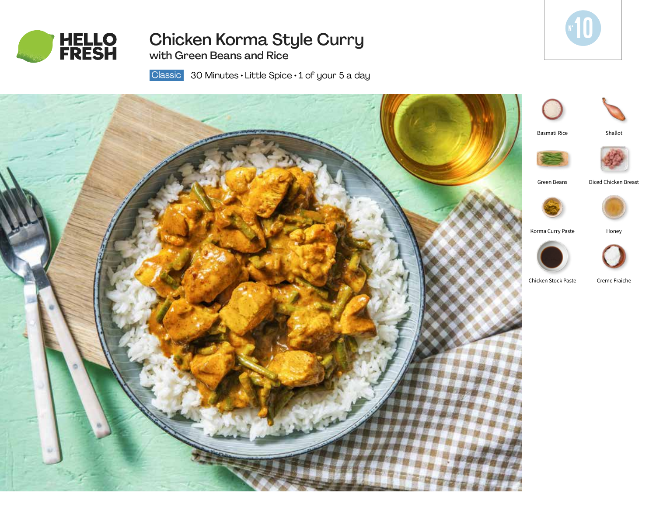

# Chicken Korma Style Curry

with Green Beans and Rice



 30 Minutes • Little Spice • 1 of your 5 a day **Classic**